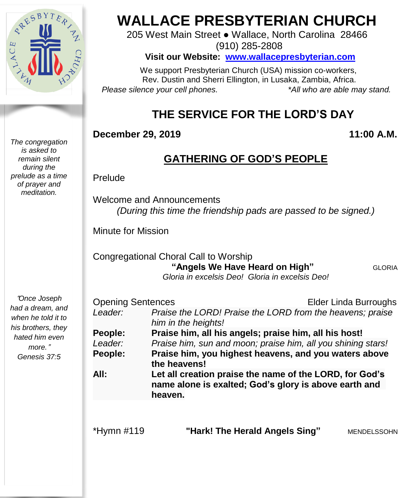

*The congregation is asked to remain silent during the prelude as a time of prayer and meditation.*

#### "*Once Joseph had a dream, and when he told it to his brothers, they hated him even more.*" *Genesis 37:5*

# **WALLACE PRESBYTERIAN CHURCH**

205 West Main Street ● Wallace, North Carolina 28466 (910) 285-2808

**Visit our Website: [www.wallacepresbyterian.com](http://www.wallacepresbyterian.com/)**

 We support Presbyterian Church (USA) mission co-workers, Rev. Dustin and Sherri Ellington, in Lusaka, Zambia, Africa. *Please silence your cell phones. \*All who are able may stand.*

# **THE SERVICE FOR THE LORD'S DAY**

#### **December 29, 2019 11:00 A.M.**

# **GATHERING OF GOD'S PEOPLE**

Prelude

Welcome and Announcements *(During this time the friendship pads are passed to be signed.)*

Minute for Mission

Congregational Choral Call to Worship  **"Angels We Have Heard on High"** GLORIA *Gloria in excelsis Deo! Gloria in excelsis Deo!* 

| <b>Opening Sentences</b> |                                                                                                                  | <b>Elder Linda Burroughs</b> |
|--------------------------|------------------------------------------------------------------------------------------------------------------|------------------------------|
| Leader:                  | Praise the LORD! Praise the LORD from the heavens; praise                                                        |                              |
|                          | him in the heights!                                                                                              |                              |
| People:                  | Praise him, all his angels; praise him, all his host!                                                            |                              |
| Leader:                  | Praise him, sun and moon; praise him, all you shining stars!                                                     |                              |
| People:                  | Praise him, you highest heavens, and you waters above                                                            |                              |
|                          | the heavens!                                                                                                     |                              |
| All:                     | Let all creation praise the name of the LORD, for God's<br>name alone is exalted; God's glory is above earth and |                              |
|                          |                                                                                                                  |                              |
|                          | heaven.                                                                                                          |                              |
|                          |                                                                                                                  |                              |
|                          |                                                                                                                  |                              |
| *Hymn #119               | "Hark! The Herald Angels Sing"                                                                                   | MENDELSSOHN                  |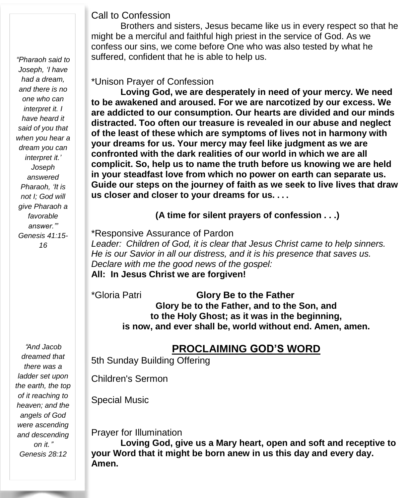#### Call to Confession

Brothers and sisters, Jesus became like us in every respect so that he might be a merciful and faithful high priest in the service of God. As we confess our sins, we come before One who was also tested by what he suffered, confident that he is able to help us.

#### \*Unison Prayer of Confession

**Loving God, we are desperately in need of your mercy. We need to be awakened and aroused. For we are narcotized by our excess. We are addicted to our consumption. Our hearts are divided and our minds distracted. Too often our treasure is revealed in our abuse and neglect of the least of these which are symptoms of lives not in harmony with your dreams for us. Your mercy may feel like judgment as we are confronted with the dark realities of our world in which we are all complicit. So, help us to name the truth before us knowing we are held in your steadfast love from which no power on earth can separate us. Guide our steps on the journey of faith as we seek to live lives that draw us closer and closer to your dreams for us. . . .**

**(A time for silent prayers of confession . . .)**

\*Responsive Assurance of Pardon

*Leader: Children of God, it is clear that Jesus Christ came to help sinners. He is our Savior in all our distress, and it is his presence that saves us. Declare with me the good news of the gospel:* **All: In Jesus Christ we are forgiven!**

\*Gloria Patri **Glory Be to the Father Glory be to the Father, and to the Son, and to the Holy Ghost; as it was in the beginning, is now, and ever shall be, world without end. Amen, amen.**

### **PROCLAIMING GOD'S WORD**

5th Sunday Building Offering

Children's Sermon

Special Music

Prayer for Illumination

**Loving God, give us a Mary heart, open and soft and receptive to your Word that it might be born anew in us this day and every day. Amen.**

*"Pharaoh said to Joseph, 'I have had a dream, and there is no one who can interpret it. I have heard it said of you that when you hear a dream you can interpret it.' Joseph answered Pharaoh, 'It is not I; God will give Pharaoh a favorable answer.'" Genesis 41:15- 16*

"*And Jacob dreamed that there was a ladder set upon the earth, the top of it reaching to heaven; and the angels of God were ascending and descending on it.*" *Genesis 28:12*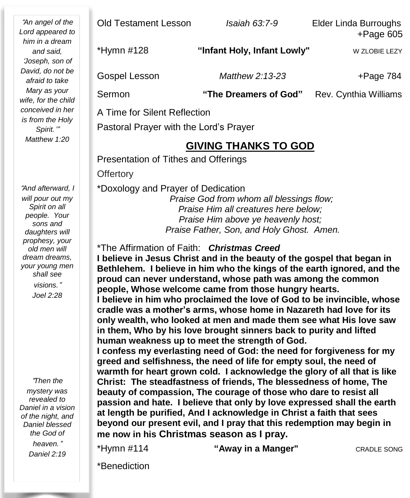"*An angel of the Lord appeared to him in a dream and said,* '*Joseph, son of David, do not be afraid to take Mary as your wife, for the child conceived in her is from the Holy Spirit.*'" *Matthew 1:20*

"*And afterward, I will pour out my Spirit on all people. Your sons and daughters will prophesy, your old men will dream dreams, your young men shall see visions.*" *Joel 2:28*

"*Then the mystery was revealed to Daniel in a vision of the night, and Daniel blessed the God of heaven.*"

*Daniel 2:19*

 Pastoral Prayer with the Lord's Prayer Old Testament Lesson *Isaiah 63:7-9* Elder Linda Burroughs +Page 605 \*Hymn #128 **"Infant Holy, Infant Lowly"** W ZLOBIE LEZY Gospel Lesson *Matthew 2:13-23* +Page 784 Sermon **"The Dreamers of God"** Rev. Cynthia Williams A Time for Silent Reflection

#### **GIVING THANKS TO GOD**

Presentation of Tithes and Offerings

**Offertory** 

\*Doxology and Prayer of Dedication

*Praise God from whom all blessings flow; Praise Him all creatures here below; Praise Him above ye heavenly host; Praise Father, Son, and Holy Ghost. Amen.*

#### \*The Affirmation of Faith: *Christmas Creed*

 **beauty of compassion, The courage of those who dare to resist all I believe in Jesus Christ and in the beauty of the gospel that began in Bethlehem. I believe in him who the kings of the earth ignored, and the proud can never understand, whose path was among the common people, Whose welcome came from those hungry hearts. I believe in him who proclaimed the love of God to be invincible, whose cradle was a mother's arms, whose home in Nazareth had love for its only wealth, who looked at men and made them see what His love saw in them, Who by his love brought sinners back to purity and lifted human weakness up to meet the strength of God. I confess my everlasting need of God: the need for forgiveness for my greed and selfishness, the need of life for empty soul, the need of warmth for heart grown cold. I acknowledge the glory of all that is like Christ: The steadfastness of friends, The blessedness of home, The passion and hate. I believe that only by love expressed shall the earth at length be purified, And I acknowledge in Christ a faith that sees beyond our present evil, and I pray that this redemption may begin in me now in his Christmas season as I pray.**

\*Hymn #114 **"Away in a Manger"** CRADLE SONG

\*Benediction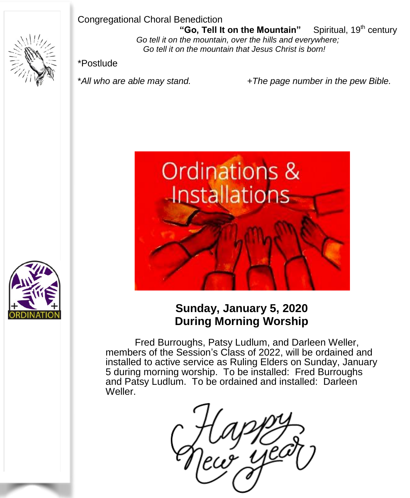#### Congregational Choral Benediction



 **"Go, Tell It on the Mountain"** Spiritual, 19th century *Go tell it on the mountain, over the hills and everywhere; Go tell it on the mountain that Jesus Christ is born!*

\*Postlude

\**All who are able may stand. +The page number in the pew Bible.*





# **Sunday, January 5, 2020 During Morning Worship**

Fred Burroughs, Patsy Ludlum, and Darleen Weller, members of the Session's Class of 2022, will be ordained and installed to active service as Ruling Elders on Sunday, January 5 during morning worship. To be installed: Fred Burroughs and Patsy Ludlum. To be ordained and installed: Darleen Weller.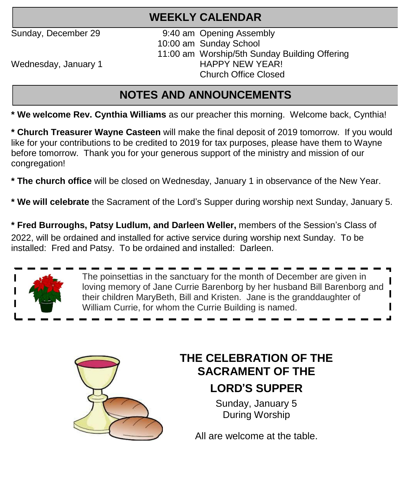# **WEEKLY CALENDAR**

Sunday, December 29 9:40 am Opening Assembly 10:00 am Sunday School 11:00 am Worship/5th Sunday Building Offering<br>HAPPY NEW YEAR! Church Office Closed

Wednesday, January 1

# **NOTES AND ANNOUNCEMENTS**

**\* We welcome Rev. Cynthia Williams** as our preacher this morning. Welcome back, Cynthia!

**\* Church Treasurer Wayne Casteen** will make the final deposit of 2019 tomorrow. If you would like for your contributions to be credited to 2019 for tax purposes, please have them to Wayne before tomorrow. Thank you for your generous support of the ministry and mission of our congregation!

**\* The church office** will be closed on Wednesday, January 1 in observance of the New Year.

**\* We will celebrate** the Sacrament of the Lord's Supper during worship next Sunday, January 5.

**\* Fred Burroughs, Patsy Ludlum, and Darleen Weller,** members of the Session's Class of 2022, will be ordained and installed for active service during worship next Sunday. To be installed: Fred and Patsy. To be ordained and installed: Darleen.



The poinsettias in the sanctuary for the month of December are given in loving memory of Jane Currie Barenborg by her husband Bill Barenborg and their children MaryBeth, Bill and Kristen. Jane is the granddaughter of William Currie, for whom the Currie Building is named.



# **THE CELEBRATION OF THE SACRAMENT OF THE LORD**'**S SUPPER**

Sunday, January 5 During Worship

All are welcome at the table.